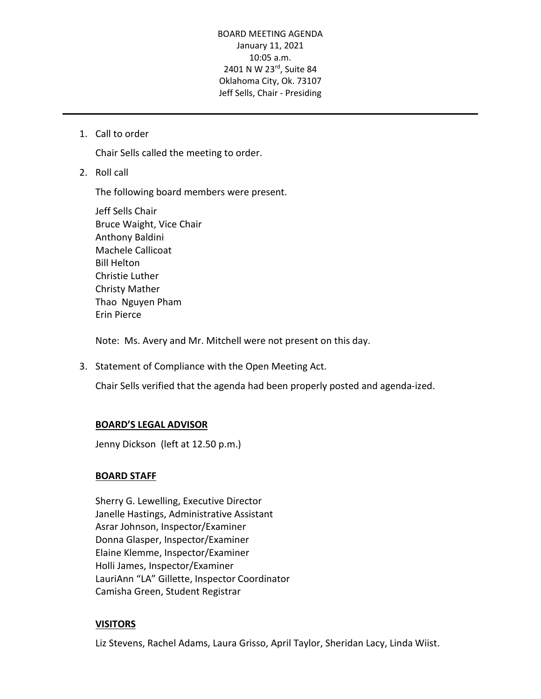#### BOARD MEETING AGENDA January 11, 2021 10:05 a.m. 2401 N W 23rd, Suite 84 Oklahoma City, Ok. 73107 Jeff Sells, Chair - Presiding

1. Call to order

Chair Sells called the meeting to order.

2. Roll call

The following board members were present.

Jeff Sells Chair Bruce Waight, Vice Chair Anthony Baldini Machele Callicoat Bill Helton Christie Luther Christy Mather Thao Nguyen Pham Erin Pierce

Note: Ms. Avery and Mr. Mitchell were not present on this day.

3. Statement of Compliance with the Open Meeting Act.

Chair Sells verified that the agenda had been properly posted and agenda-ized.

## **BOARD'S LEGAL ADVISOR**

Jenny Dickson (left at 12.50 p.m.)

## **BOARD STAFF**

Sherry G. Lewelling, Executive Director Janelle Hastings, Administrative Assistant Asrar Johnson, Inspector/Examiner Donna Glasper, Inspector/Examiner Elaine Klemme, Inspector/Examiner Holli James, Inspector/Examiner LauriAnn "LA" Gillette, Inspector Coordinator Camisha Green, Student Registrar

## **VISITORS**

Liz Stevens, Rachel Adams, Laura Grisso, April Taylor, Sheridan Lacy, Linda Wiist.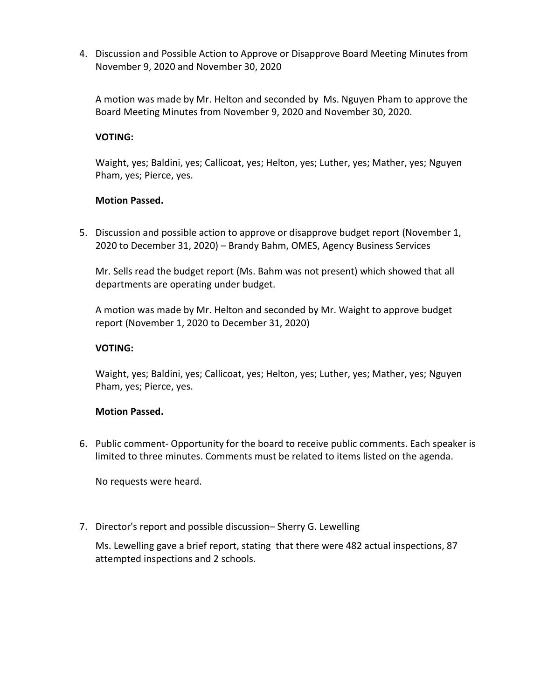4. Discussion and Possible Action to Approve or Disapprove Board Meeting Minutes from November 9, 2020 and November 30, 2020

A motion was made by Mr. Helton and seconded by Ms. Nguyen Pham to approve the Board Meeting Minutes from November 9, 2020 and November 30, 2020.

## **VOTING:**

Waight, yes; Baldini, yes; Callicoat, yes; Helton, yes; Luther, yes; Mather, yes; Nguyen Pham, yes; Pierce, yes.

## **Motion Passed.**

5. Discussion and possible action to approve or disapprove budget report (November 1, 2020 to December 31, 2020) – Brandy Bahm, OMES, Agency Business Services

Mr. Sells read the budget report (Ms. Bahm was not present) which showed that all departments are operating under budget.

A motion was made by Mr. Helton and seconded by Mr. Waight to approve budget report (November 1, 2020 to December 31, 2020)

# **VOTING:**

Waight, yes; Baldini, yes; Callicoat, yes; Helton, yes; Luther, yes; Mather, yes; Nguyen Pham, yes; Pierce, yes.

## **Motion Passed.**

6. Public comment- Opportunity for the board to receive public comments. Each speaker is limited to three minutes. Comments must be related to items listed on the agenda.

No requests were heard.

7. Director's report and possible discussion– Sherry G. Lewelling

Ms. Lewelling gave a brief report, stating that there were 482 actual inspections, 87 attempted inspections and 2 schools.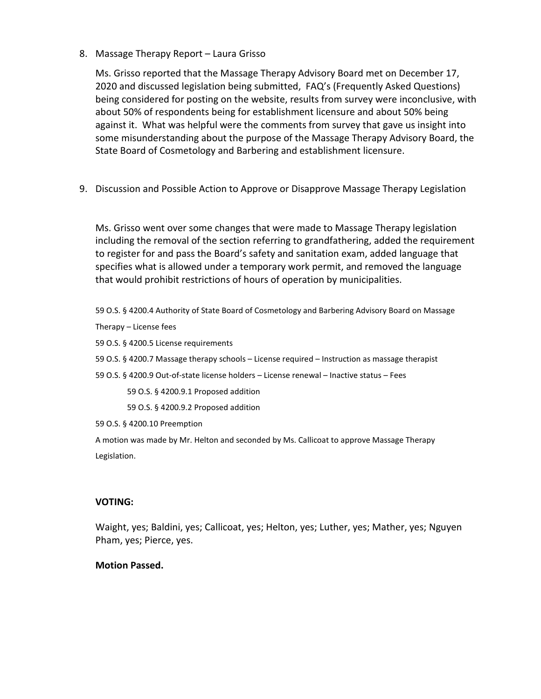8. Massage Therapy Report – Laura Grisso

Ms. Grisso reported that the Massage Therapy Advisory Board met on December 17, 2020 and discussed legislation being submitted, FAQ's (Frequently Asked Questions) being considered for posting on the website, results from survey were inconclusive, with about 50% of respondents being for establishment licensure and about 50% being against it. What was helpful were the comments from survey that gave us insight into some misunderstanding about the purpose of the Massage Therapy Advisory Board, the State Board of Cosmetology and Barbering and establishment licensure.

9. Discussion and Possible Action to Approve or Disapprove Massage Therapy Legislation

Ms. Grisso went over some changes that were made to Massage Therapy legislation including the removal of the section referring to grandfathering, added the requirement to register for and pass the Board's safety and sanitation exam, added language that specifies what is allowed under a temporary work permit, and removed the language that would prohibit restrictions of hours of operation by municipalities.

59 O.S. § 4200.4 Authority of State Board of Cosmetology and Barbering Advisory Board on Massage Therapy – License fees

59 O.S. § 4200.5 License requirements

59 O.S. § 4200.7 Massage therapy schools – License required – Instruction as massage therapist

59 O.S. § 4200.9 Out-of-state license holders – License renewal – Inactive status – Fees

59 O.S. § 4200.9.1 Proposed addition

59 O.S. § 4200.9.2 Proposed addition

59 O.S. § 4200.10 Preemption

A motion was made by Mr. Helton and seconded by Ms. Callicoat to approve Massage Therapy Legislation.

## **VOTING:**

Waight, yes; Baldini, yes; Callicoat, yes; Helton, yes; Luther, yes; Mather, yes; Nguyen Pham, yes; Pierce, yes.

## **Motion Passed.**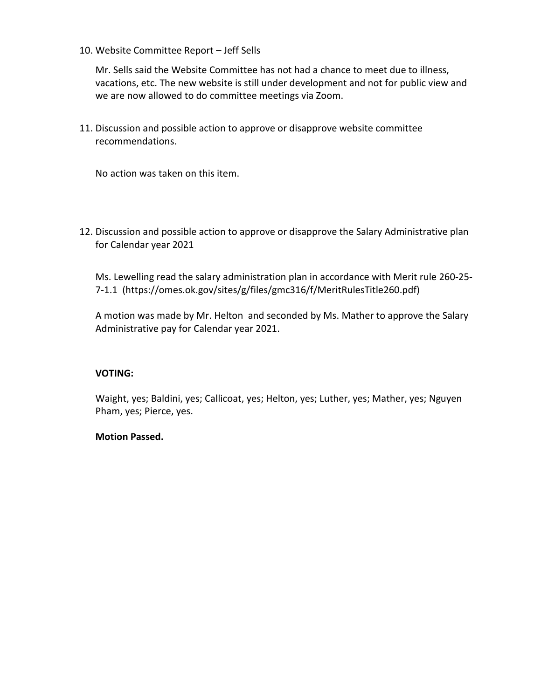10. Website Committee Report – Jeff Sells

Mr. Sells said the Website Committee has not had a chance to meet due to illness, vacations, etc. The new website is still under development and not for public view and we are now allowed to do committee meetings via Zoom.

11. Discussion and possible action to approve or disapprove website committee recommendations.

No action was taken on this item.

12. Discussion and possible action to approve or disapprove the Salary Administrative plan for Calendar year 2021

Ms. Lewelling read the salary administration plan in accordance with Merit rule 260-25- 7-1.1 (https://omes.ok.gov/sites/g/files/gmc316/f/MeritRulesTitle260.pdf)

A motion was made by Mr. Helton and seconded by Ms. Mather to approve the Salary Administrative pay for Calendar year 2021.

## **VOTING:**

Waight, yes; Baldini, yes; Callicoat, yes; Helton, yes; Luther, yes; Mather, yes; Nguyen Pham, yes; Pierce, yes.

## **Motion Passed.**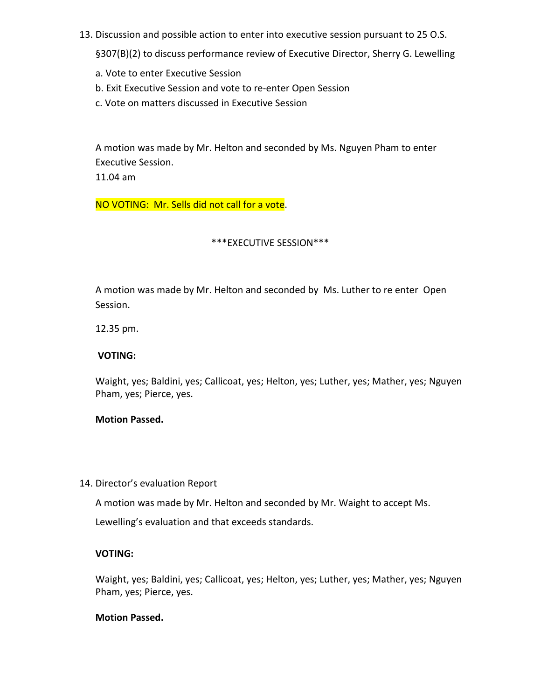13. Discussion and possible action to enter into executive session pursuant to 25 O.S.

§307(B)(2) to discuss performance review of Executive Director, Sherry G. Lewelling

- a. Vote to enter Executive Session
- b. Exit Executive Session and vote to re-enter Open Session
- c. Vote on matters discussed in Executive Session

A motion was made by Mr. Helton and seconded by Ms. Nguyen Pham to enter Executive Session.

11.04 am

NO VOTING: Mr. Sells did not call for a vote.

#### \*\*\*EXECUTIVE SESSION\*\*\*

A motion was made by Mr. Helton and seconded by Ms. Luther to re enter Open Session.

12.35 pm.

#### **VOTING:**

Waight, yes; Baldini, yes; Callicoat, yes; Helton, yes; Luther, yes; Mather, yes; Nguyen Pham, yes; Pierce, yes.

## **Motion Passed.**

14. Director's evaluation Report

A motion was made by Mr. Helton and seconded by Mr. Waight to accept Ms.

Lewelling's evaluation and that exceeds standards.

#### **VOTING:**

Waight, yes; Baldini, yes; Callicoat, yes; Helton, yes; Luther, yes; Mather, yes; Nguyen Pham, yes; Pierce, yes.

#### **Motion Passed.**